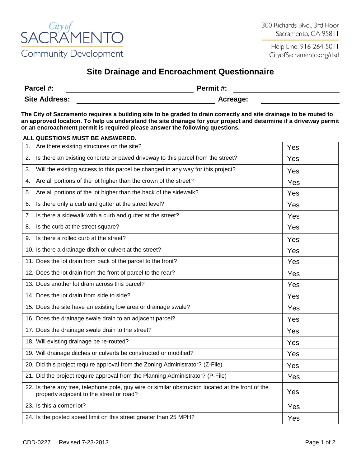

Help Line: 916-264-5011 CityofSacramento.org/dsd

## **Site Drainage and Encroachment Questionnaire**

| Parcel #:            | Permit #: |
|----------------------|-----------|
| <b>Site Address:</b> | Acreage:  |

**The City of Sacramento requires a building site to be graded to drain correctly and site drainage to be routed to an approved location. To help us understand the site drainage for your project and determine if a driveway permit or an encroachment permit is required please answer the following questions.** 

## **ALL QUESTIONS MUST BE ANSWERED.**

| 1. | Are there existing structures on the site?                                                                                                     | Yes |
|----|------------------------------------------------------------------------------------------------------------------------------------------------|-----|
| 2. | Is there an existing concrete or paved driveway to this parcel from the street?                                                                | Yes |
| 3. | Will the existing access to this parcel be changed in any way for this project?                                                                | Yes |
| 4. | Are all portions of the lot higher than the crown of the street?                                                                               | Yes |
| 5. | Are all portions of the lot higher than the back of the sidewalk?                                                                              | Yes |
| 6. | Is there only a curb and gutter at the street level?                                                                                           | Yes |
| 7. | Is there a sidewalk with a curb and gutter at the street?                                                                                      | Yes |
| 8. | Is the curb at the street square?                                                                                                              | Yes |
| 9. | Is there a rolled curb at the street?                                                                                                          | Yes |
|    | 10. Is there a drainage ditch or culvert at the street?                                                                                        | Yes |
|    | 11. Does the lot drain from back of the parcel to the front?                                                                                   | Yes |
|    | 12. Does the lot drain from the front of parcel to the rear?                                                                                   | Yes |
|    | 13. Does another lot drain across this parcel?                                                                                                 | Yes |
|    | 14. Does the lot drain from side to side?                                                                                                      | Yes |
|    | 15. Does the site have an existing low area or drainage swale?                                                                                 | Yes |
|    | 16. Does the drainage swale drain to an adjacent parcel?                                                                                       | Yes |
|    | 17. Does the drainage swale drain to the street?                                                                                               | Yes |
|    | 18. Will existing drainage be re-routed?                                                                                                       | Yes |
|    | 19. Will drainage ditches or culverts be constructed or modified?                                                                              | Yes |
|    | 20. Did this project require approval from the Zoning Administrator? (Z-File)                                                                  | Yes |
|    | 21. Did the project require approval from the Planning Administrator? (P-File)                                                                 | Yes |
|    | 22. Is there any tree, telephone pole, guy wire or similar obstruction located at the front of the<br>property adjacent to the street or road? | Yes |
|    | 23. Is this a corner lot?                                                                                                                      | Yes |
|    | 24. Is the posted speed limit on this street greater than 25 MPH?                                                                              | Yes |